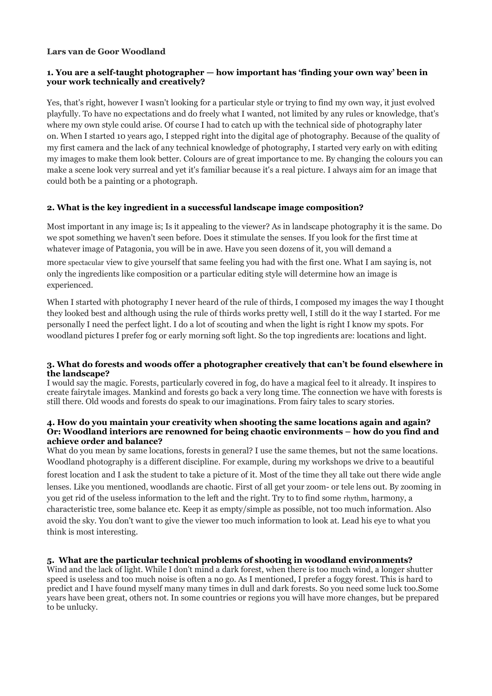### **Lars van de Goor Woodland**

# **1. You are a self-taught photographer — how important has 'finding your own way' been in your work technically and creatively?**

Yes, that's right, however I wasn't looking for a particular style or trying to find my own way, it just evolved playfully. To have no expectations and do freely what I wanted, not limited by any rules or knowledge, that's where my own style could arise. Of course I had to catch up with the technical side of photography later on. When I started 10 years ago, I stepped right into the digital age of photography. Because of the quality of my first camera and the lack of any technical knowledge of photography, I started very early on with editing my images to make them look better. Colours are of great importance to me. By changing the colours you can make a scene look very surreal and yet it's familiar because it's a real picture. I always aim for an image that could both be a painting or a photograph.

### **2. What is the key ingredient in a successful landscape image composition?**

Most important in any image is; Is it appealing to the viewer? As in landscape photography it is the same. Do we spot something we haven't seen before. Does it stimulate the senses. If you look for the first time at whatever image of Patagonia, you will be in awe. Have you seen dozens of it, you will demand a

more spectacular view to give yourself that same feeling you had with the first one. What I am saying is, not only the ingredients like composition or a particular editing style will determine how an image is experienced.

When I started with photography I never heard of the rule of thirds, I composed my images the way I thought they looked best and although using the rule of thirds works pretty well, I still do it the way I started. For me personally I need the perfect light. I do a lot of scouting and when the light is right I know my spots. For woodland pictures I prefer fog or early morning soft light. So the top ingredients are: locations and light.

### **3. What do forests and woods offer a photographer creatively that can't be found elsewhere in the landscape?**

I would say the magic. Forests, particularly covered in fog, do have a magical feel to it already. It inspires to create fairytale images. Mankind and forests go back a very long time. The connection we have with forests is still there. Old woods and forests do speak to our imaginations. From fairy tales to scary stories.

#### **4. How do you maintain your creativity when shooting the same locations again and again? Or: Woodland interiors are renowned for being chaotic environments – how do you find and achieve order and balance?**

What do you mean by same locations, forests in general? I use the same themes, but not the same locations. Woodland photography is a different discipline. For example, during my workshops we drive to a beautiful forest location and I ask the student to take a picture of it. Most of the time they all take out there wide angle lenses. Like you mentioned, woodlands are chaotic. First of all get your zoom- or tele lens out. By zooming in you get rid of the useless information to the left and the right. Try to to find some rhythm, harmony, a characteristic tree, some balance etc. Keep it as empty/simple as possible, not too much information. Also avoid the sky. You don't want to give the viewer too much information to look at. Lead his eye to what you think is most interesting.

### **5. What are the particular technical problems of shooting in woodland environments?**

Wind and the lack of light. While I don't mind a dark forest, when there is too much wind, a longer shutter speed is useless and too much noise is often a no go. As I mentioned, I prefer a foggy forest. This is hard to predict and I have found myself many many times in dull and dark forests. So you need some luck too.Some years have been great, others not. In some countries or regions you will have more changes, but be prepared to be unlucky.